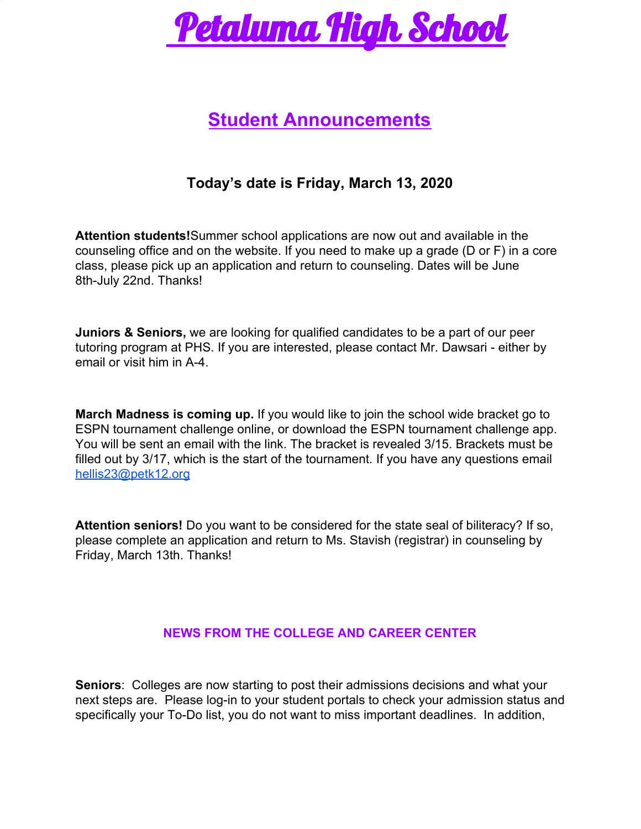

# **Student Announcements**

# **Today's date is Friday, March 13, 2020**

**Attention students!**Summer school applications are now out and available in the counseling office and on the website. If you need to make up a grade (D or F) in a core class, please pick up an application and return to counseling. Dates will be June 8th-July 22nd. Thanks!

**Juniors & Seniors,** we are looking for qualified candidates to be a part of our peer tutoring program at PHS. If you are interested, please contact Mr. Dawsari - either by email or visit him in A-4.

**March Madness is coming up.** If you would like to join the school wide bracket go to ESPN tournament challenge online, or download the ESPN tournament challenge app. You will be sent an email with the link. The bracket is revealed 3/15. Brackets must be filled out by 3/17, which is the start of the tournament. If you have any questions email [hellis23@petk12.org](mailto:hellis23@petk12.org)

**Attention seniors!** Do you want to be considered for the state seal of biliteracy? If so, please complete an application and return to Ms. Stavish (registrar) in counseling by Friday, March 13th. Thanks!

## **NEWS FROM THE COLLEGE AND CAREER CENTER**

**Seniors**: Colleges are now starting to post their admissions decisions and what your next steps are. Please log-in to your student portals to check your admission status and specifically your To-Do list, you do not want to miss important deadlines. In addition,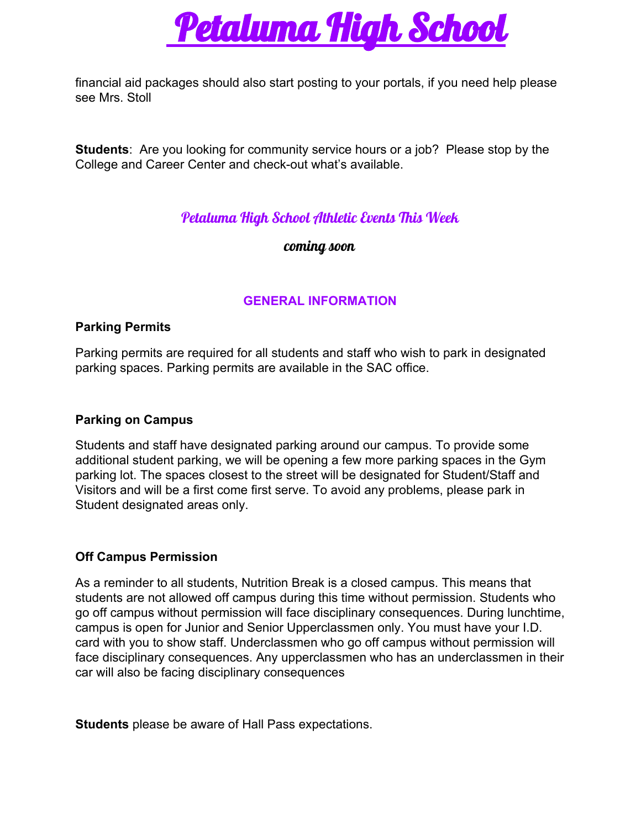

financial aid packages should also start posting to your portals, if you need help please see Mrs. Stoll

**Students**: Are you looking for community service hours or a job? Please stop by the College and Career Center and check-out what's available.

# Petaluma High School Athletic Events This Week

coming soon

# **GENERAL INFORMATION**

#### **Parking Permits**

Parking permits are required for all students and staff who wish to park in designated parking spaces. Parking permits are available in the SAC office.

### **Parking on Campus**

Students and staff have designated parking around our campus. To provide some additional student parking, we will be opening a few more parking spaces in the Gym parking lot. The spaces closest to the street will be designated for Student/Staff and Visitors and will be a first come first serve. To avoid any problems, please park in Student designated areas only.

## **Off Campus Permission**

As a reminder to all students, Nutrition Break is a closed campus. This means that students are not allowed off campus during this time without permission. Students who go off campus without permission will face disciplinary consequences. During lunchtime, campus is open for Junior and Senior Upperclassmen only. You must have your I.D. card with you to show staff. Underclassmen who go off campus without permission will face disciplinary consequences. Any upperclassmen who has an underclassmen in their car will also be facing disciplinary consequences

**Students** please be aware of Hall Pass expectations.